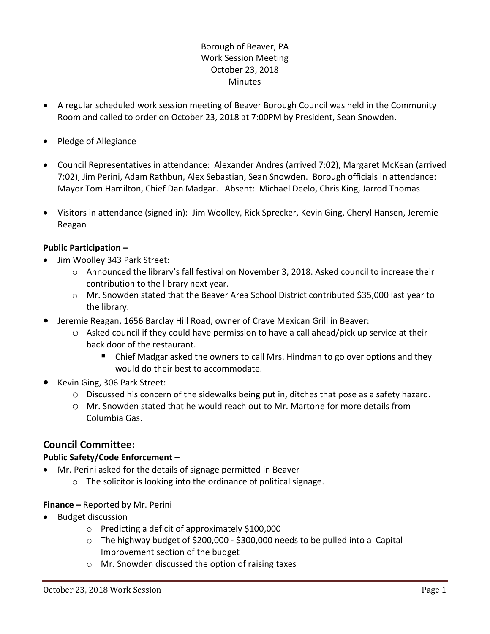## Borough of Beaver, PA Work Session Meeting October 23, 2018 **Minutes**

- A regular scheduled work session meeting of Beaver Borough Council was held in the Community Room and called to order on October 23, 2018 at 7:00PM by President, Sean Snowden.
- Pledge of Allegiance
- Council Representatives in attendance: Alexander Andres (arrived 7:02), Margaret McKean (arrived 7:02), Jim Perini, Adam Rathbun, Alex Sebastian, Sean Snowden. Borough officials in attendance: Mayor Tom Hamilton, Chief Dan Madgar. Absent: Michael Deelo, Chris King, Jarrod Thomas
- Visitors in attendance (signed in): Jim Woolley, Rick Sprecker, Kevin Ging, Cheryl Hansen, Jeremie Reagan

### **Public Participation –**

- Jim Woolley 343 Park Street:
	- o Announced the library's fall festival on November 3, 2018. Asked council to increase their contribution to the library next year.
	- o Mr. Snowden stated that the Beaver Area School District contributed \$35,000 last year to the library.
- Jeremie Reagan, 1656 Barclay Hill Road, owner of Crave Mexican Grill in Beaver:
	- $\circ$  Asked council if they could have permission to have a call ahead/pick up service at their back door of the restaurant.
		- Chief Madgar asked the owners to call Mrs. Hindman to go over options and they would do their best to accommodate.
- Kevin Ging, 306 Park Street:
	- o Discussed his concern of the sidewalks being put in, ditches that pose as a safety hazard.
	- $\circ$  Mr. Snowden stated that he would reach out to Mr. Martone for more details from Columbia Gas.

# **Council Committee:**

### **Public Safety/Code Enforcement –**

- Mr. Perini asked for the details of signage permitted in Beaver
	- o The solicitor is looking into the ordinance of political signage.

### **Finance –** Reported by Mr. Perini

- Budget discussion
	- o Predicting a deficit of approximately \$100,000
	- $\circ$  The highway budget of \$200,000 \$300,000 needs to be pulled into a Capital Improvement section of the budget
	- o Mr. Snowden discussed the option of raising taxes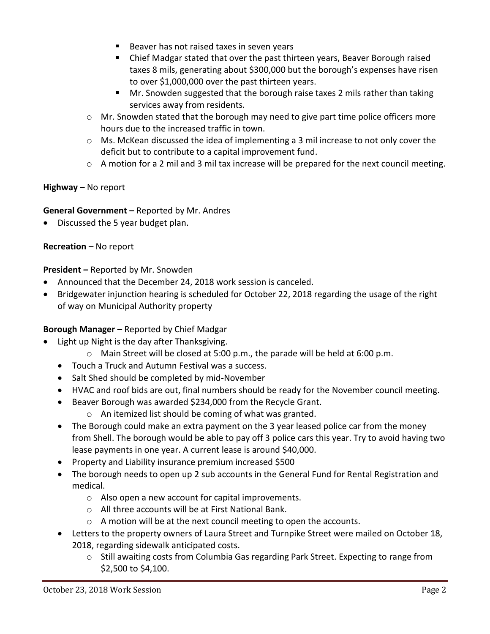- Beaver has not raised taxes in seven years
- Chief Madgar stated that over the past thirteen years, Beaver Borough raised taxes 8 mils, generating about \$300,000 but the borough's expenses have risen to over \$1,000,000 over the past thirteen years.
- Mr. Snowden suggested that the borough raise taxes 2 mils rather than taking services away from residents.
- o Mr. Snowden stated that the borough may need to give part time police officers more hours due to the increased traffic in town.
- o Ms. McKean discussed the idea of implementing a 3 mil increase to not only cover the deficit but to contribute to a capital improvement fund.
- $\circ$  A motion for a 2 mil and 3 mil tax increase will be prepared for the next council meeting.

### **Highway –** No report

### **General Government –** Reported by Mr. Andres

Discussed the 5 year budget plan.

### **Recreation –** No report

### **President –** Reported by Mr. Snowden

- Announced that the December 24, 2018 work session is canceled.
- Bridgewater injunction hearing is scheduled for October 22, 2018 regarding the usage of the right of way on Municipal Authority property

# **Borough Manager –** Reported by Chief Madgar

- Light up Night is the day after Thanksgiving.
	- $\circ$  Main Street will be closed at 5:00 p.m., the parade will be held at 6:00 p.m.
	- Touch a Truck and Autumn Festival was a success.
	- Salt Shed should be completed by mid-November
	- HVAC and roof bids are out, final numbers should be ready for the November council meeting.
	- Beaver Borough was awarded \$234,000 from the Recycle Grant.
		- o An itemized list should be coming of what was granted.
	- The Borough could make an extra payment on the 3 year leased police car from the money from Shell. The borough would be able to pay off 3 police cars this year. Try to avoid having two lease payments in one year. A current lease is around \$40,000.
	- Property and Liability insurance premium increased \$500
	- The borough needs to open up 2 sub accounts in the General Fund for Rental Registration and medical.
		- o Also open a new account for capital improvements.
		- o All three accounts will be at First National Bank.
		- o A motion will be at the next council meeting to open the accounts.
	- Letters to the property owners of Laura Street and Turnpike Street were mailed on October 18, 2018, regarding sidewalk anticipated costs.
		- $\circ$  Still awaiting costs from Columbia Gas regarding Park Street. Expecting to range from \$2,500 to \$4,100.